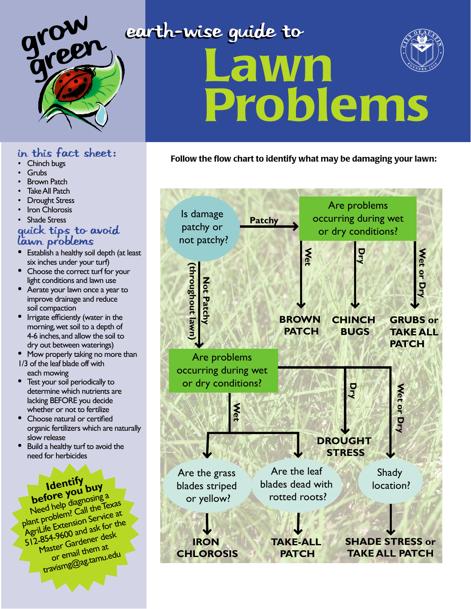

## earth-wise guide to Lawn Problems

Follow the flow chart to identify what may be damaging your lawn:



In this Fact Sheet:

- Chinch bugs
- **Grubs**
- **Brown Patch**
- **Take All Patch**
- **Drought Stress**
- **Iron Chlorosis**
- Shade Stress

## Quick Tips to avoid lawn problems

- **•** Establish a healthy soil depth (at least six inches under your turf)
- **•** Choose the correct turf for your light conditions and lawn use
- **•** Aerate your lawn once a year to improve drainage and reduce soil compaction
- **•** Irrigate efficiently (water in the morning, wet soil to a depth of 4-6 inches, and allow the soil to dry out between waterings)
- **•** Mow properly taking no more than 1/3 of the leaf blade off with
- each mowing **•** Test your soil periodically to
- determine which nutrients are lacking BEFORE you decide whether or not to fertilize
- **•** Choose natural or certified organic fertilizers which are naturally slow release
- **•** Build a healthy turf to avoid the need for herbicides

## **Identify before you buy**

Need help diagnosing a plant problem? Call the Texas AgriLife Extension Service at 512-854-9600 and ask for the Master Gardener desk or email them at travismg@ag.tamu.edu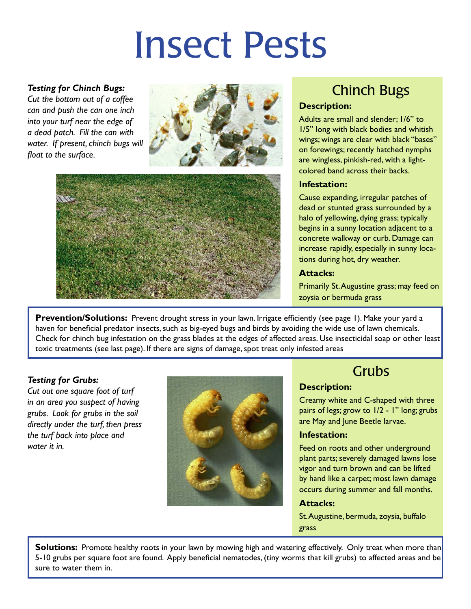## Insect Pests

### *Testing for Chinch Bugs:*

*Cut the bottom out of a coffee can and push the can one inch into your turf near the edge of a dead patch. Fill the can with water. If present, chinch bugs will float to the surface.*





## Chinch Bugs

### **Description:**

Adults are small and slender; 1/6" to 1/5" long with black bodies and whitish wings; wings are clear with black "bases" on forewings; recently hatched nymphs are wingless, pinkish-red, with a lightcolored band across their backs.

### **Infestation:**

Cause expanding, irregular patches of dead or stunted grass surrounded by a halo of yellowing, dying grass; typically begins in a sunny location adjacent to a concrete walkway or curb. Damage can increase rapidly, especially in sunny locations during hot, dry weather.

### **Attacks:**

Primarily St. Augustine grass; may feed on zoysia or bermuda grass

**Prevention/Solutions:** Prevent drought stress in your lawn. Irrigate efficiently (see page 1). Make your yard a haven for beneficial predator insects, such as big-eyed bugs and birds by avoiding the wide use of lawn chemicals. Check for chinch bug infestation on the grass blades at the edges of affected areas. Use insecticidal soap or other least toxic treatments (see last page). If there are signs of damage, spot treat only infested areas

### *Testing for Grubs:*

*Cut out one square foot of turf in an area you suspect of having grubs. Look for grubs in the soil directly under the turf, then press the turf back into place and water it in.*



## Grubs

## **Description:**

Creamy white and C-shaped with three pairs of legs; grow to 1/2 - 1" long; grubs are May and June Beetle larvae.

### **Infestation:**

Feed on roots and other underground plant parts; severely damaged lawns lose vigor and turn brown and can be lifted by hand like a carpet; most lawn damage occurs during summer and fall months.

## **Attacks:**

St. Augustine, bermuda, zoysia, buffalo grass

**Solutions:** Promote healthy roots in your lawn by mowing high and watering effectively. Only treat when more than 5-10 grubs per square foot are found. Apply beneficial nematodes, (tiny worms that kill grubs) to affected areas and be sure to water them in.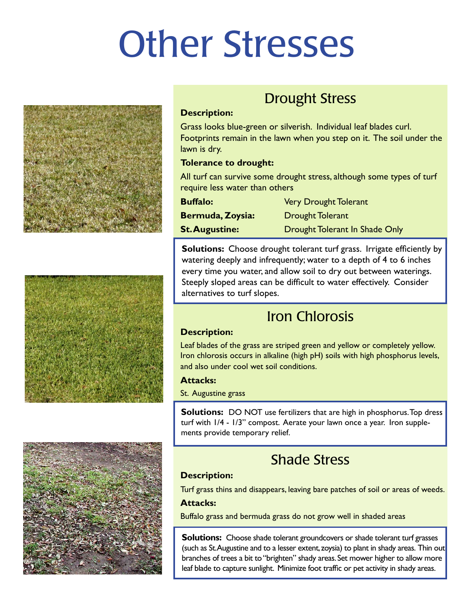## Other Stresses





## Drought Stress

#### **Description:**

Grass looks blue-green or silverish. Individual leaf blades curl. Footprints remain in the lawn when you step on it. The soil under the lawn is dry.

#### **Tolerance to drought:**

All turf can survive some drought stress, although some types of turf require less water than others

| <b>Buffalo:</b>         | <b>Very Drought Tolerant</b>   |
|-------------------------|--------------------------------|
| <b>Bermuda, Zoysia:</b> | Drought Tolerant               |
| <b>St. Augustine:</b>   | Drought Tolerant In Shade Only |

**Solutions:** Choose drought tolerant turf grass. Irrigate efficiently by watering deeply and infrequently; water to a depth of 4 to 6 inches every time you water, and allow soil to dry out between waterings. Steeply sloped areas can be difficult to water effectively. Consider alternatives to turf slopes.

## Iron Chlorosis

#### **Description:**

Leaf blades of the grass are striped green and yellow or completely yellow. Iron chlorosis occurs in alkaline (high pH) soils with high phosphorus levels, and also under cool wet soil conditions.

#### **Attacks:**

St. Augustine grass

**Solutions:**DO NOT use fertilizers that are high in phosphorus. Top dress turf with 1/4 - 1/3" compost. Aerate your lawn once a year. Iron supplements provide temporary relief.

## Shade Stress

### **Description:**

Turf grass thins and disappears, leaving bare patches of soil or areas of weeds. **Attacks:**

Buffalo grass and bermuda grass do not grow well in shaded areas

**Solutions:**Choose shade tolerant groundcovers or shade tolerant turf grasses (such as St. Augustine and to a lesser extent, zoysia) to plant in shady areas. Thin out branches of trees a bit to "brighten" shady areas. Set mower higher to allow more leaf blade to capture sunlight. Minimize foot traffic or pet activity in shady areas.

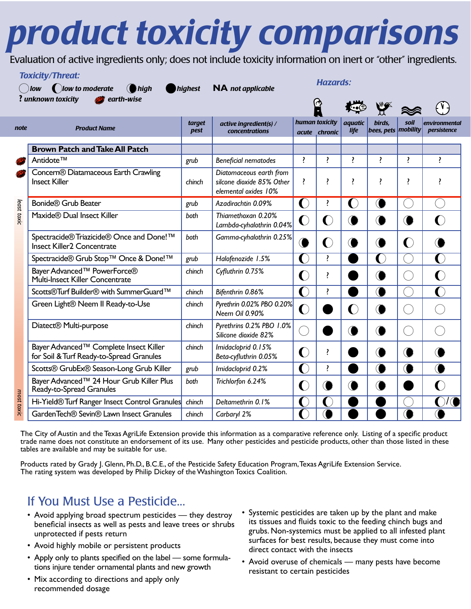## *product toxicity comparisons*

Evaluation of active ingredients only; does not include toxicity information on inert or "other" ingredients.

## *Toxicity/Threat:*



|             |                                                                                    |                |                                                                              |                | Ĥ                               |                               |                               |                                                 |                              |
|-------------|------------------------------------------------------------------------------------|----------------|------------------------------------------------------------------------------|----------------|---------------------------------|-------------------------------|-------------------------------|-------------------------------------------------|------------------------------|
| note        | <b>Product Name</b>                                                                | target<br>pest | active ingredient(s) /<br><b>concentrations</b>                              |                | human toxicity<br>acute chronic | <i>aquatic</i><br><b>life</b> | birds.<br>bees, pets mobility | soil                                            | environmental<br>persistence |
|             | <b>Brown Patch and Take All Patch</b>                                              |                |                                                                              |                |                                 |                               |                               |                                                 |                              |
| Ø<br>Ø      | Antidote™                                                                          | grub           | <b>Beneficial nematodes</b>                                                  | <sup>?</sup>   | ŗ                               | <sup>?</sup>                  | ŗ                             | $\cdot$                                         | ŗ                            |
|             | Concern® Diatamaceous Earth Crawling<br><b>Insect Killer</b>                       | chinch         | Diatomaceous earth from<br>silcone dioxide 85% Other<br>elemental oxides 10% | ŗ              | ŗ                               | ŗ                             | ,                             | ŗ                                               | 1                            |
|             | <b>Bonide® Grub Beater</b>                                                         | grub           | Azadirachtin 0.09%                                                           | C              | ŗ                               | C                             |                               |                                                 |                              |
| least toxic | Maxide® Dual Insect Killer                                                         | both           | Thiamethoxan 0.20%<br>Lambda-cyhalothrin 0.04%                               | $\blacksquare$ | $\blacksquare$                  |                               |                               | ◑                                               |                              |
|             | Spectracide® Triazicide® Once and Done!™<br><b>Insect Killer2 Concentrate</b>      | both           | Gamma-cyhalothrin 0.25%                                                      |                | O                               |                               |                               | $\bullet$                                       |                              |
|             | Spectracide® Grub Stop™ Once & Done!™                                              | grub           | Halofenozide 1.5%                                                            | $\Box$         | ŗ                               |                               |                               |                                                 |                              |
|             | Bayer Advanced <sup>™</sup> PowerForce®<br>Multi-Insect Killer Concentrate         | chinch         | Cyfluthrin 0.75%                                                             | O              | ŗ                               |                               |                               |                                                 |                              |
|             | Scotts®Turf Builder® with SummerGuard™                                             | chinch         | Bifenthrin 0.86%                                                             | C              | ŗ                               |                               |                               |                                                 |                              |
|             | Green Light® Neem II Ready-to-Use                                                  | chinch         | Pyrethrin 0.02% PBO 0.20%<br>Neem Oil 0.90%                                  | C              |                                 | $\blacklozenge$               |                               |                                                 |                              |
|             | Diatect® Multi-purpose                                                             | chinch         | Pyrethrins 0.2% PBO 1.0%<br>Silicone dioxide 82%                             |                |                                 |                               |                               | $\left( \begin{array}{c} 1 \end{array} \right)$ |                              |
|             | Bayer Advanced™ Complete Insect Killer<br>for Soil & Turf Ready-to-Spread Granules | chinch         | Imidacloprid 0.15%<br>Beta-cyfluthrin 0.05%                                  | C              | ŗ                               |                               |                               | ◑                                               |                              |
|             | Scotts® GrubEx® Season-Long Grub Killer                                            | grub           | Imidacloprid 0.2%                                                            | €              | ļ                               |                               |                               | ◑                                               |                              |
|             | Bayer Advanced™ 24 Hour Grub Killer Plus<br>Ready-to-Spread Granules               | both           | Trichlorfon 6.24%                                                            | O              |                                 |                               |                               |                                                 |                              |
| most toxic  | Hi-Yield® Turf Ranger Insect Control Granules                                      | chinch         | Deltamethrin 0.1%                                                            |                |                                 |                               |                               |                                                 |                              |
|             | Garden Tech® Sevin® Lawn Insect Granules                                           | chinch         | Carbaryl 2%                                                                  |                |                                 |                               |                               |                                                 |                              |

The City of Austin and the Texas AgriLife Extension provide this information as a comparative reference only. Listing of a specific product trade name does not constitute an endorsement of its use. Many other pesticides and pesticide products, other than those listed in these tables are available and may be suitable for use.

Products rated by Grady J. Glenn, Ph.D., B.C.E., of the Pesticide Safety Education Program, Texas AgriLife Extension Service. The rating system was developed by Philip Dickey of the Washington Toxics Coalition.

## If You Must Use a Pesticide...

- Avoid applying broad spectrum pesticides they destroy beneficial insects as well as pests and leave trees or shrubs unprotected if pests return
- Avoid highly mobile or persistent products
- Apply only to plants specified on the label some formulations injure tender ornamental plants and new growth
- Mix according to directions and apply only recommended dosage
- Systemic pesticides are taken up by the plant and make its tissues and fluids toxic to the feeding chinch bugs and grubs. Non-systemics must be applied to all infested plant surfaces for best results, because they must come into direct contact with the insects
- Avoid overuse of chemicals many pests have become resistant to certain pesticides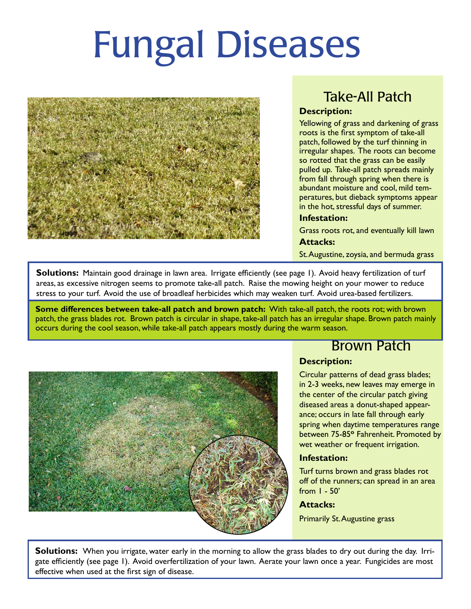# Fungal Diseases



## Take-All Patch

#### **Description:**

Yellowing of grass and darkening of grass roots is the first symptom of take-all patch, followed by the turf thinning in irregular shapes. The roots can become so rotted that the grass can be easily pulled up. Take-all patch spreads mainly from fall through spring when there is abundant moisture and cool, mild temperatures, but dieback symptoms appear in the hot, stressful days of summer.

#### **Infestation:**

Grass roots rot, and eventually kill lawn **Attacks:**

St. Augustine, zoysia, and bermuda grass

**Solutions:** Maintain good drainage in lawn area. Irrigate efficiently (see page 1). Avoid heavy fertilization of turf areas, as excessive nitrogen seems to promote take-all patch. Raise the mowing height on your mower to reduce stress to your turf. Avoid the use of broadleaf herbicides which may weaken turf. Avoid urea-based fertilizers.

**Some differences between take-all patch and brown patch:** With take-all patch, the roots rot; with brown patch, the grass blades rot. Brown patch is circular in shape, take-all patch has an irregular shape. Brown patch mainly occurs during the cool season, while take-all patch appears mostly during the warm season.



## Brown Patch

## **Description:**

Circular patterns of dead grass blades; in 2-3 weeks, new leaves may emerge in the center of the circular patch giving diseased areas a donut-shaped appearance; occurs in late fall through early spring when daytime temperatures range between 75-85**o** Fahrenheit. Promoted by wet weather or frequent irrigation.

### **Infestation:**

Turf turns brown and grass blades rot off of the runners; can spread in an area from 1 - 50'

## **Attacks:**

Primarily St. Augustine grass

**Solutions:**When you irrigate, water early in the morning to allow the grass blades to dry out during the day. Irrigate efficiently (see page 1). Avoid overfertilization of your lawn. Aerate your lawn once a year. Fungicides are most effective when used at the first sign of disease.